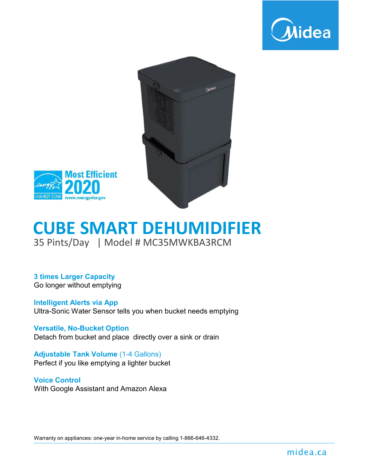





### 35 Pints/Day | Model # MC35MWKBA3RCM **CUBE SMART DEHUMIDIFIER**

**3 times Larger Capacity** Go longer without emptying

**Intelligent Alerts via App** Ultra-Sonic Water Sensor tells you when bucket needs emptying

**Versatile, No-Bucket Option** Detach from bucket and place directly over a sink or drain

**Adjustable Tank Volume** (1-4 Gallons) Perfect if you like emptying a lighter bucket

#### **Voice Control**

With Google Assistant and Amazon Alexa

Warranty on appliances: one-year in-home service by calling 1-866-646-4332.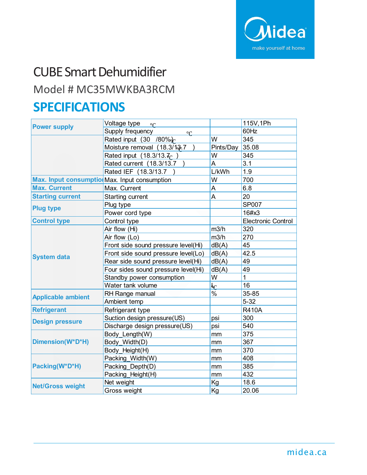

# CUBE Smart Dehumidifier

### Model # MC35MWKBA3RCM

### **SPECIFICATIONS**

| <b>Power supply</b>                           | Voltage type or                     |                          | 115V, 1Ph                 |
|-----------------------------------------------|-------------------------------------|--------------------------|---------------------------|
|                                               | Supply frequency<br>$\circ$ C       |                          | 60Hz                      |
|                                               | Rated input (30 /80%)               | W                        | 345                       |
|                                               | Moisture removal (18.3/13-7         | Pints/Day                | 35.08                     |
|                                               | Rated input (18.3/13. $7C$ )        | W                        | 345                       |
|                                               | Rated current (18.3/13.7            | A                        | 3.1                       |
|                                               | Rated IEF (18.3/13.7                | L/kWh                    | 1.9                       |
| Max. Input consumption Max. Input consumption |                                     | W                        | 700                       |
| <b>Max. Current</b>                           | Max. Current                        | Α                        | 6.8                       |
| <b>Starting current</b>                       | <b>Starting current</b>             | A                        | 20                        |
| <b>Plug type</b>                              | Plug type                           |                          | <b>SP007</b>              |
|                                               | Power cord type                     |                          | 16#x3                     |
| <b>Control type</b>                           | Control type                        |                          | <b>Electronic Control</b> |
| <b>System data</b>                            | Air flow (Hi)                       | m3/h                     | 320                       |
|                                               | Air flow (Lo)                       | m3/h                     | 270                       |
|                                               | Front side sound pressure level(Hi) | dB(A)                    | 45                        |
|                                               | Front side sound pressure level(Lo) | dB(A)                    | 42.5                      |
|                                               | Rear side sound pressure level(Hi)  | dB(A)                    | 49                        |
|                                               | Four sides sound pressure level(Hi) | dB(A)                    | 49                        |
|                                               | Standby power consumption           | W                        | $\overline{1}$            |
|                                               | Water tank volume                   | <u>եթ</u>                | 16                        |
| <b>Applicable ambient</b>                     | RH Range manual                     | $\overline{\frac{9}{0}}$ | 35-85                     |
|                                               | Ambient temp                        |                          | $5 - 32$                  |
| <b>Refrigerant</b>                            | Refrigerant type                    |                          | <b>R410A</b>              |
| <b>Design pressure</b>                        | Suction design pressure(US)         | psi                      | 300                       |
|                                               | Discharge design pressure(US)       | psi                      | 540                       |
| Dimension(W*D*H)                              | Body Length(W)                      | mm                       | 375                       |
|                                               | Body Width(D)                       | mm                       | 367                       |
|                                               | Body Height(H)                      | mm                       | 370                       |
| Packing(W*D*H)                                | Packing Width(W)                    | mm                       | 408                       |
|                                               | Packing Depth(D)                    | mm                       | 385                       |
|                                               | Packing Height(H)                   | mm                       | 432                       |
| <b>Net/Gross weight</b>                       | Net weight                          | Kg                       | 18.6                      |
|                                               | Gross weight                        | Kg                       | 20.06                     |